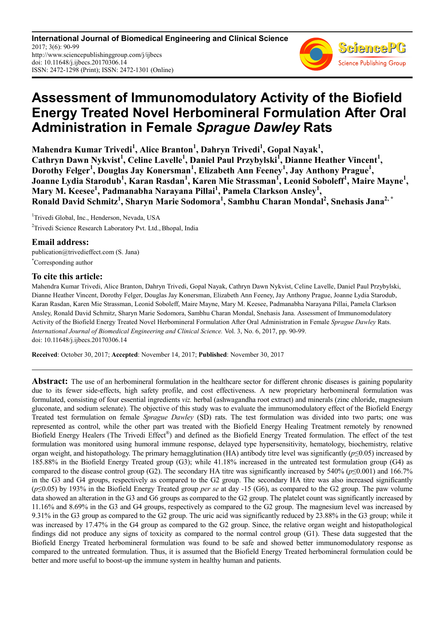**International Journal of Biomedical Engineering and Clinical Science** 2017; 3(6): 90-99 http://www.sciencepublishinggroup.com/j/ijbecs doi: 10.11648/j.ijbecs.20170306.14 ISSN: 2472-1298 (Print); ISSN: 2472-1301 (Online)



# **Assessment of Immunomodulatory Activity of the Biofield Energy Treated Novel Herbomineral Formulation After Oral Administration in Female** *Sprague Dawley* **Rats**

**Mahendra Kumar Trivedi<sup>1</sup> , Alice Branton<sup>1</sup> , Dahryn Trivedi<sup>1</sup> , Gopal Nayak<sup>1</sup> ,**  Cathryn Dawn Nykvist<sup>1</sup>, Celine Lavelle<sup>1</sup>, Daniel Paul Przybylski<sup>I</sup>, Dianne Heather Vincent<sup>1</sup>, **Dorothy Felger<sup>1</sup> , Douglas Jay Konersman<sup>1</sup> , Elizabeth Ann Feeney<sup>1</sup> , Jay Anthony Prague<sup>1</sup> , Joanne Lydia Starodub<sup>1</sup> , Karan Rasdan<sup>1</sup> , Karen Mie Strassman<sup>1</sup> , Leonid Soboleff<sup>1</sup> , Maire Mayne<sup>1</sup> , Mary M. Keesee<sup>1</sup> , Padmanabha Narayana Pillai<sup>1</sup> , Pamela Clarkson Ansley<sup>1</sup> , Ronald David Schmitz<sup>1</sup> , Sharyn Marie Sodomora<sup>1</sup> , Sambhu Charan Mondal<sup>2</sup> , Snehasis Jana2, \***

<sup>1</sup>Trivedi Global, Inc., Henderson, Nevada, USA <sup>2</sup>Trivedi Science Research Laboratory Pvt. Ltd., Bhopal, India

# **Email address:**

publication@trivedieffect.com (S. Jana) \*Corresponding author

# **To cite this article:**

Mahendra Kumar Trivedi, Alice Branton, Dahryn Trivedi, Gopal Nayak, Cathryn Dawn Nykvist, Celine Lavelle, Daniel Paul Przybylski, Dianne Heather Vincent, Dorothy Felger, Douglas Jay Konersman, Elizabeth Ann Feeney, Jay Anthony Prague, Joanne Lydia Starodub, Karan Rasdan, Karen Mie Strassman, Leonid Soboleff, Maire Mayne, Mary M. Keesee, Padmanabha Narayana Pillai, Pamela Clarkson Ansley, Ronald David Schmitz, Sharyn Marie Sodomora, Sambhu Charan Mondal, Snehasis Jana. Assessment of Immunomodulatory Activity of the Biofield Energy Treated Novel Herbomineral Formulation After Oral Administration in Female *Sprague Dawley* Rats. *International Journal of Biomedical Engineering and Clinical Science.* Vol. 3, No. 6, 2017, pp. 90-99. doi: 10.11648/j.ijbecs.20170306.14

**Received**: October 30, 2017; **Accepted**: November 14, 2017; **Published**: November 30, 2017

**Abstract:** The use of an herbomineral formulation in the healthcare sector for different chronic diseases is gaining popularity due to its fewer side-effects, high safety profile, and cost effectiveness. A new proprietary herbomineral formulation was formulated, consisting of four essential ingredients *viz.* herbal (ashwagandha root extract) and minerals (zinc chloride, magnesium gluconate, and sodium selenate). The objective of this study was to evaluate the immunomodulatory effect of the Biofield Energy Treated test formulation on female *Sprague Dawley* (SD) rats. The test formulation was divided into two parts; one was represented as control, while the other part was treated with the Biofield Energy Healing Treatment remotely by renowned Biofield Energy Healers (The Trivedi Effect®) and defined as the Biofield Energy Treated formulation. The effect of the test formulation was monitored using humoral immune response, delayed type hypersensitivity, hematology, biochemistry, relative organ weight, and histopathology. The primary hemagglutination (HA) antibody titre level was significantly (*p*≤0.05) increased by 185.88% in the Biofield Energy Treated group (G3); while 41.18% increased in the untreated test formulation group (G4) as compared to the disease control group (G2). The secondary HA titre was significantly increased by  $540\%$  ( $p \le 0.001$ ) and  $166.7\%$ in the G3 and G4 groups, respectively as compared to the G2 group. The secondary HA titre was also increased significantly (*p*≤0.05) by 193% in the Biofield Energy Treated group *per se* at day -15 (G6), as compared to the G2 group. The paw volume data showed an alteration in the G3 and G6 groups as compared to the G2 group. The platelet count was significantly increased by 11.16% and 8.69% in the G3 and G4 groups, respectively as compared to the G2 group. The magnesium level was increased by 9.31% in the G3 group as compared to the G2 group. The uric acid was significantly reduced by 23.88% in the G3 group; while it was increased by 17.47% in the G4 group as compared to the G2 group. Since, the relative organ weight and histopathological findings did not produce any signs of toxicity as compared to the normal control group (G1). These data suggested that the Biofield Energy Treated herbomineral formulation was found to be safe and showed better immunomodulatory response as compared to the untreated formulation. Thus, it is assumed that the Biofield Energy Treated herbomineral formulation could be better and more useful to boost-up the immune system in healthy human and patients.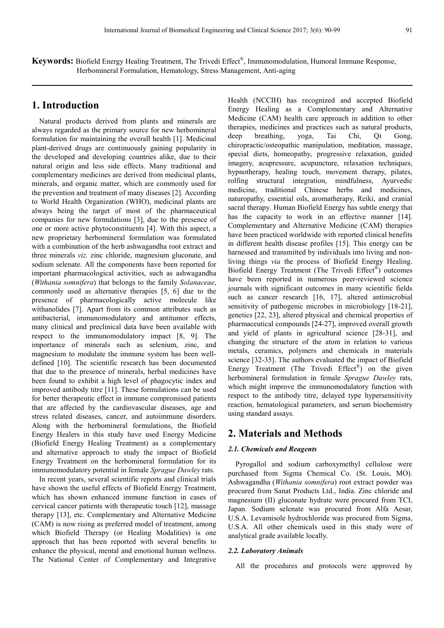**Keywords:** Biofield Energy Healing Treatment, The Trivedi Effect® , Immunomodulation, Humoral Immune Response, Herbomineral Formulation, Hematology, Stress Management, Anti-aging

# **1. Introduction**

Natural products derived from plants and minerals are always regarded as the primary source for new herbomineral formulation for maintaining the overall health [1]. Medicinal plant-derived drugs are continuously gaining popularity in the developed and developing countries alike, due to their natural origin and less side effects. Many traditional and complementary medicines are derived from medicinal plants, minerals, and organic matter, which are commonly used for the prevention and treatment of many diseases [2]. According to World Health Organization (WHO), medicinal plants are always being the target of most of the pharmaceutical companies for new formulations [3], due to the presence of one or more active phytoconstituents [4]. With this aspect, a new proprietary herbomineral formulation was formulated with a combination of the herb ashwagandha root extract and three minerals *viz.* zinc chloride, magnesium gluconate, and sodium selenate. All the components have been reported for important pharmacological activities, such as ashwagandha (*Withania somnifera*) that belongs to the family *Solanaceae*, commonly used as alternative therapies [5, 6] due to the presence of pharmacologically active molecule like withanolides [7]. Apart from its common attributes such as antibacterial, immunomodulatory and antitumor effects, many clinical and preclinical data have been available with respect to the immunomodulatory impact [8, 9]. The importance of minerals such as selenium, zinc, and magnesium to modulate the immune system has been welldefined [10]. The scientific research has been documented that due to the presence of minerals, herbal medicines have been found to exhibit a high level of phagocytic index and improved antibody titre [11]. These formulations can be used for better therapeutic effect in immune compromised patients that are affected by the cardiovascular diseases, age and stress related diseases, cancer, and autoimmune disorders. Along with the herbomineral formulations, the Biofield Energy Healers in this study have used Energy Medicine (Biofield Energy Healing Treatment) as a complementary and alternative approach to study the impact of Biofield Energy Treatment on the herbomineral formulation for its immunomodulatory potential in female *Sprague Dawley* rats.

In recent years, several scientific reports and clinical trials have shown the useful effects of Biofield Energy Treatment, which has shown enhanced immune function in cases of cervical cancer patients with therapeutic touch [12], massage therapy [13], etc. Complementary and Alternative Medicine (CAM) is now rising as preferred model of treatment, among which Biofield Therapy (or Healing Modalities) is one approach that has been reported with several benefits to enhance the physical, mental and emotional human wellness. The National Center of Complementary and Integrative

Health (NCCIH) has recognized and accepted Biofield Energy Healing as a Complementary and Alternative Medicine (CAM) health care approach in addition to other therapies, medicines and practices such as natural products, deep breathing, yoga, Tai Chi, Qi Gong, chiropractic/osteopathic manipulation, meditation, massage, special diets, homeopathy, progressive relaxation, guided imagery, acupressure, acupuncture, relaxation techniques, hypnotherapy, healing touch, movement therapy, pilates, rolfing structural integration, mindfulness, Ayurvedic medicine, traditional Chinese herbs and medicines, naturopathy, essential oils, aromatherapy, Reiki, and cranial sacral therapy. Human Biofield Energy has subtle energy that has the capacity to work in an effective manner [14]. Complementary and Alternative Medicine (CAM) therapies have been practiced worldwide with reported clinical benefits in different health disease profiles [15]. This energy can be harnessed and transmitted by individuals into living and nonliving things *via* the process of Biofield Energy Healing. Biofield Energy Treatment (The Trivedi Effect®) outcomes have been reported in numerous peer-reviewed science journals with significant outcomes in many scientific fields such as cancer research [16, 17], altered antimicrobial sensitivity of pathogenic microbes in microbiology [18-21], genetics [22, 23], altered physical and chemical properties of pharmaceutical compounds [24-27], improved overall growth and yield of plants in agricultural science [28-31], and changing the structure of the atom in relation to various metals, ceramics, polymers and chemicals in materials science [32-35]. The authors evaluated the impact of Biofield Energy Treatment (The Trivedi Effect®) on the given herbomineral formulation in female *Sprague Dawley* rats, which might improve the immunomodulatory function with respect to the antibody titre, delayed type hypersensitivity reaction, hematological parameters, and serum biochemistry using standard assays.

# **2. Materials and Methods**

#### *2.1. Chemicals and Reagents*

Pyrogallol and sodium carboxymethyl cellulose were purchased from Sigma Chemical Co. (St. Louis, MO). Ashwagandha (*Withania somnifera*) root extract powder was procured from Sanat Products Ltd., India. Zinc chloride and magnesium (II) gluconate hydrate were procured from TCI, Japan. Sodium selenate was procured from Alfa Aesar, U.S.A. Levamisole hydrochloride was procured from Sigma, U.S.A. All other chemicals used in this study were of analytical grade available locally.

#### *2.2. Laboratory Animals*

All the procedures and protocols were approved by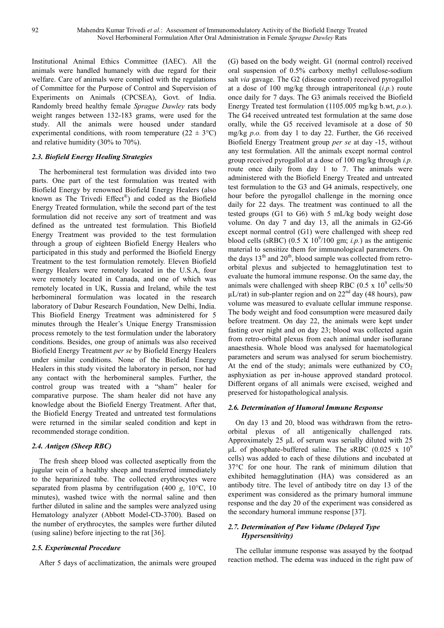Institutional Animal Ethics Committee (IAEC). All the animals were handled humanely with due regard for their welfare. Care of animals were complied with the regulations of Committee for the Purpose of Control and Supervision of Experiments on Animals (CPCSEA), Govt. of India. Randomly breed healthy female *Sprague Dawley* rats body weight ranges between 132-183 grams, were used for the study. All the animals were housed under standard experimental conditions, with room temperature ( $22 \pm 3$ °C) and relative humidity (30% to 70%).

## *2.3. Biofield Energy Healing Strategies*

The herbomineral test formulation was divided into two parts. One part of the test formulation was treated with Biofield Energy by renowned Biofield Energy Healers (also known as The Trivedi Effect® ) and coded as the Biofield Energy Treated formulation, while the second part of the test formulation did not receive any sort of treatment and was defined as the untreated test formulation. This Biofield Energy Treatment was provided to the test formulation through a group of eighteen Biofield Energy Healers who participated in this study and performed the Biofield Energy Treatment to the test formulation remotely. Eleven Biofield Energy Healers were remotely located in the U.S.A, four were remotely located in Canada, and one of which was remotely located in UK, Russia and Ireland, while the test herbomineral formulation was located in the research laboratory of Dabur Research Foundation, New Delhi, India. This Biofield Energy Treatment was administered for 5 minutes through the Healer's Unique Energy Transmission process remotely to the test formulation under the laboratory conditions. Besides, one group of animals was also received Biofield Energy Treatment *per se* by Biofield Energy Healers under similar conditions. None of the Biofield Energy Healers in this study visited the laboratory in person, nor had any contact with the herbomineral samples. Further, the control group was treated with a "sham" healer for comparative purpose. The sham healer did not have any knowledge about the Biofield Energy Treatment. After that, the Biofield Energy Treated and untreated test formulations were returned in the similar sealed condition and kept in recommended storage condition.

## *2.4. Antigen (Sheep RBC)*

The fresh sheep blood was collected aseptically from the jugular vein of a healthy sheep and transferred immediately to the heparinized tube. The collected erythrocytes were separated from plasma by centrifugation (400 *g*, 10°C, 10 minutes), washed twice with the normal saline and then further diluted in saline and the samples were analyzed using Hematology analyzer (Abbott Model-CD-3700). Based on the number of erythrocytes, the samples were further diluted (using saline) before injecting to the rat [36].

## *2.5. Experimental Procedure*

After 5 days of acclimatization, the animals were grouped

(G) based on the body weight. G1 (normal control) received oral suspension of 0.5% carboxy methyl cellulose-sodium salt *via* gavage. The G2 (disease control) received pyrogallol at a dose of 100 mg/kg through intraperitoneal (*i.p.*) route once daily for 7 days. The G3 animals received the Biofield Energy Treated test formulation (1105.005 mg/kg b.wt, *p.o.*). The G4 received untreated test formulation at the same dose orally, while the G5 received levamisole at a dose of 50 mg/kg *p.o.* from day 1 to day 22. Further, the G6 received Biofield Energy Treatment group *per se* at day -15, without any test formulation. All the animals except normal control group received pyrogallol at a dose of 100 mg/kg through *i.p.* route once daily from day 1 to 7. The animals were administered with the Biofield Energy Treated and untreated test formulation to the G3 and G4 animals, respectively, one hour before the pyrogallol challenge in the morning once daily for 22 days. The treatment was continued to all the tested groups (G1 to G6) with 5 mL/kg body weight dose volume. On day 7 and day 13, all the animals in G2-G6 except normal control (G1) were challenged with sheep red blood cells (sRBC)  $(0.5 \times 10^9/100 \text{ gm}; i.p.)$  as the antigenic material to sensitize them for immunological parameters. On the days  $13<sup>th</sup>$  and  $20<sup>th</sup>$ , blood sample was collected from retroorbital plexus and subjected to hemagglutination test to evaluate the humoral immune response. On the same day, the animals were challenged with sheep RBC (0.5 x  $10^9$  cells/50  $\mu$ L/rat) in sub-planter region and on 22<sup>nd</sup> day (48 hours), paw volume was measured to evaluate cellular immune response. The body weight and food consumption were measured daily before treatment. On day 22, the animals were kept under fasting over night and on day 23; blood was collected again from retro-orbital plexus from each animal under isoflurane anaesthesia. Whole blood was analysed for haematological parameters and serum was analysed for serum biochemistry. At the end of the study; animals were euthanized by  $CO<sub>2</sub>$ asphyxiation as per in-house approved standard protocol. Different organs of all animals were excised, weighed and preserved for histopathological analysis.

#### *2.6. Determination of Humoral Immune Response*

On day 13 and 20, blood was withdrawn from the retroorbital plexus of all antigenically challenged rats. Approximately 25 µL of serum was serially diluted with 25 µL of phosphate-buffered saline. The sRBC  $(0.025 \times 10^9)$ cells) was added to each of these dilutions and incubated at 37°C for one hour. The rank of minimum dilution that exhibited hemagglutination (HA) was considered as an antibody titre. The level of antibody titre on day 13 of the experiment was considered as the primary humoral immune response and the day 20 of the experiment was considered as the secondary humoral immune response [37].

## *2.7. Determination of Paw Volume (Delayed Type Hypersensitivity)*

The cellular immune response was assayed by the footpad reaction method. The edema was induced in the right paw of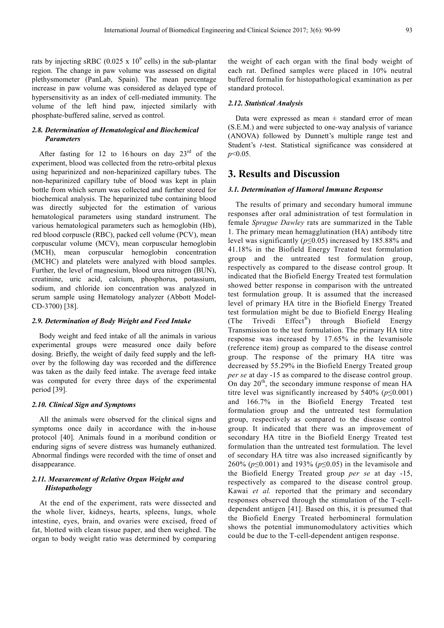rats by injecting sRBC (0.025 x  $10^9$  cells) in the sub-plantar region. The change in paw volume was assessed on digital plethysmometer (PanLab, Spain). The mean percentage increase in paw volume was considered as delayed type of hypersensitivity as an index of cell-mediated immunity. The volume of the left hind paw, injected similarly with phosphate-buffered saline, served as control.

## *2.8. Determination of Hematological and Biochemical Parameters*

After fasting for 12 to 16 hours on day  $23<sup>rd</sup>$  of the experiment, blood was collected from the retro-orbital plexus using heparinized and non-heparinized capillary tubes. The non-heparinized capillary tube of blood was kept in plain bottle from which serum was collected and further stored for biochemical analysis. The heparinized tube containing blood was directly subjected for the estimation of various hematological parameters using standard instrument. The various hematological parameters such as hemoglobin (Hb), red blood corpuscle (RBC), packed cell volume (PCV), mean corpuscular volume (MCV), mean corpuscular hemoglobin (MCH), mean corpuscular hemoglobin concentration (MCHC) and platelets were analyzed with blood samples. Further, the level of magnesium, blood urea nitrogen (BUN), creatinine, uric acid, calcium, phosphorus, potassium, sodium, and chloride ion concentration was analyzed in serum sample using Hematology analyzer (Abbott Model-CD-3700) [38].

#### *2.9. Determination of Body Weight and Feed Intake*

Body weight and feed intake of all the animals in various experimental groups were measured once daily before dosing. Briefly, the weight of daily feed supply and the leftover by the following day was recorded and the difference was taken as the daily feed intake. The average feed intake was computed for every three days of the experimental period [39].

## *2.10. Clinical Sign and Symptoms*

All the animals were observed for the clinical signs and symptoms once daily in accordance with the in-house protocol [40]. Animals found in a moribund condition or enduring signs of severe distress was humanely euthanized. Abnormal findings were recorded with the time of onset and disappearance.

## *2.11. Measurement of Relative Organ Weight and Histopathology*

At the end of the experiment, rats were dissected and the whole liver, kidneys, hearts, spleens, lungs, whole intestine, eyes, brain, and ovaries were excised, freed of fat, blotted with clean tissue paper, and then weighed. The organ to body weight ratio was determined by comparing

the weight of each organ with the final body weight of each rat. Defined samples were placed in 10% neutral buffered formalin for histopathological examination as per standard protocol.

## *2.12. Statistical Analysis*

Data were expressed as mean  $\pm$  standard error of mean (S.E.M.) and were subjected to one-way analysis of variance (ANOVA) followed by Dunnett's multiple range test and Student's *t*-test. Statistical significance was considered at *p*<0.05.

# **3. Results and Discussion**

## *3.1. Determination of Humoral Immune Response*

The results of primary and secondary humoral immune responses after oral administration of test formulation in female *Sprague Dawley* rats are summarized in the Table 1. The primary mean hemagglutination (HA) antibody titre level was significantly (*p*≤0.05) increased by 185.88% and 41.18% in the Biofield Energy Treated test formulation group and the untreated test formulation group, respectively as compared to the disease control group. It indicated that the Biofield Energy Treated test formulation showed better response in comparison with the untreated test formulation group. It is assumed that the increased level of primary HA titre in the Biofield Energy Treated test formulation might be due to Biofield Energy Healing (The Trivedi Effect<sup>®</sup>) through Biofield Energy Transmission to the test formulation. The primary HA titre response was increased by 17.65% in the levamisole (reference item) group as compared to the disease control group. The response of the primary HA titre was decreased by 55.29% in the Biofield Energy Treated group *per se* at day -15 as compared to the disease control group. On day  $20<sup>th</sup>$ , the secondary immune response of mean HA titre level was significantly increased by 540% (*p*≤0.001) and 166.7% in the Biofield Energy Treated test formulation group and the untreated test formulation group, respectively as compared to the disease control group. It indicated that there was an improvement of secondary HA titre in the Biofield Energy Treated test formulation than the untreated test formulation. The level of secondary HA titre was also increased significantly by 260% (*p*≤0.001) and 193% (*p*≤0.05) in the levamisole and the Biofield Energy Treated group *per se* at day -15, respectively as compared to the disease control group. Kawai *et al.* reported that the primary and secondary responses observed through the stimulation of the T-celldependent antigen [41]. Based on this, it is presumed that the Biofield Energy Treated herbomineral formulation shows the potential immunomodulatory activities which could be due to the T-cell-dependent antigen response.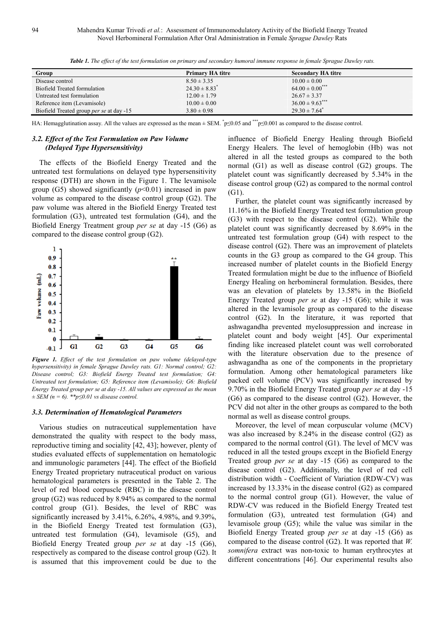| Group                                           | <b>Primary HA titre</b>       | <b>Secondary HA titre</b>       |  |
|-------------------------------------------------|-------------------------------|---------------------------------|--|
| Disease control                                 | $8.50 \pm 3.35$               | $10.00 \pm 0.00$                |  |
| Biofield Treated formulation                    | $24.30 \pm 8.83$ <sup>*</sup> | $64.00 \pm 0.00$ <sup>***</sup> |  |
| Untreated test formulation                      | $12.00 \pm 1.79$              | $26.67 \pm 3.37$                |  |
| Reference item (Levamisole)                     | $10.00 \pm 0.00$              | $36.00 \pm 9.63$ ***            |  |
| Biofield Treated group <i>per se</i> at day -15 | $3.80 \pm 0.98$               | $29.30 \pm 7.64$ <sup>*</sup>   |  |

*Table 1. The effect of the test formulation on primary and secondary humoral immune response in female Sprague Dawley rats.* 

HA: Hemagglutination assay. All the values are expressed as the mean  $\pm$  SEM.  $\degree$ p≤0.05 and  $\degree$  \* $\degree$ p≤0.001 as compared to the disease control.

## *3.2. Effect of the Test Formulation on Paw Volume (Delayed Type Hypersensitivity)*

The effects of the Biofield Energy Treated and the untreated test formulations on delayed type hypersensitivity response (DTH) are shown in the Figure 1. The levamisole group (G5) showed significantly  $(p<0.01)$  increased in paw volume as compared to the disease control group (G2). The paw volume was altered in the Biofield Energy Treated test formulation (G3), untreated test formulation (G4), and the Biofield Energy Treatment group *per se* at day -15 (G6) as compared to the disease control group (G2).



*Figure 1. Effect of the test formulation on paw volume (delayed-type hypersensitivity) in female Sprague Dawley rats. G1: Normal control; G2: Disease control; G3: Biofield Energy Treated test formulation; G4: Untreated test formulation; G5: Reference item (Levamisole); G6: Biofield Energy Treated group per se at day -15. All values are expressed as the mean ± SEM (n = 6). \*\*p≤0.01 vs disease control.* 

#### *3.3. Determination of Hematological Parameters*

Various studies on nutraceutical supplementation have demonstrated the quality with respect to the body mass, reproductive timing and sociality [42, 43]; however, plenty of studies evaluated effects of supplementation on hematologic and immunologic parameters [44]. The effect of the Biofield Energy Treated proprietary nutraceutical product on various hematological parameters is presented in the Table 2. The level of red blood corpuscle (RBC) in the disease control group (G2) was reduced by 8.94% as compared to the normal control group (G1). Besides, the level of RBC was significantly increased by 3.41%, 6.26%, 4.98%, and 9.39%, in the Biofield Energy Treated test formulation (G3), untreated test formulation (G4), levamisole (G5), and Biofield Energy Treated group *per se* at day -15 (G6), respectively as compared to the disease control group (G2). It is assumed that this improvement could be due to the

influence of Biofield Energy Healing through Biofield Energy Healers. The level of hemoglobin (Hb) was not altered in all the tested groups as compared to the both normal (G1) as well as disease control (G2) groups. The platelet count was significantly decreased by 5.34% in the disease control group (G2) as compared to the normal control (G1).

Further, the platelet count was significantly increased by 11.16% in the Biofield Energy Treated test formulation group (G3) with respect to the disease control (G2). While the platelet count was significantly decreased by 8.69% in the untreated test formulation group (G4) with respect to the disease control (G2). There was an improvement of platelets counts in the G3 group as compared to the G4 group. This increased number of platelet counts in the Biofield Energy Treated formulation might be due to the influence of Biofield Energy Healing on herbomineral formulation. Besides, there was an elevation of platelets by 13.58% in the Biofield Energy Treated group *per se* at day -15 (G6); while it was altered in the levamisole group as compared to the disease control (G2). In the literature, it was reported that ashwagandha prevented myelosuppression and increase in platelet count and body weight [45]. Our experimental finding like increased platelet count was well corroborated with the literature observation due to the presence of ashwagandha as one of the components in the proprietary formulation. Among other hematological parameters like packed cell volume (PCV) was significantly increased by 9.70% in the Biofield Energy Treated group *per se* at day -15 (G6) as compared to the disease control (G2). However, the PCV did not alter in the other groups as compared to the both normal as well as disease control groups.

Moreover, the level of mean corpuscular volume (MCV) was also increased by 8.24% in the disease control (G2) as compared to the normal control (G1). The level of MCV was reduced in all the tested groups except in the Biofield Energy Treated group *per se* at day -15 (G6) as compared to the disease control (G2). Additionally, the level of red cell distribution width - Coefficient of Variation (RDW-CV) was increased by 13.33% in the disease control (G2) as compared to the normal control group (G1). However, the value of RDW-CV was reduced in the Biofield Energy Treated test formulation (G3), untreated test formulation (G4) and levamisole group (G5); while the value was similar in the Biofield Energy Treated group *per se* at day -15 (G6) as compared to the disease control (G2). It was reported that *W. somnifera* extract was non-toxic to human erythrocytes at different concentrations [46]. Our experimental results also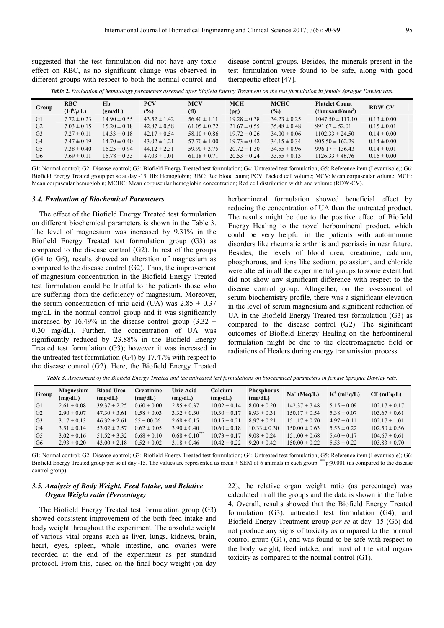suggested that the test formulation did not have any toxic effect on RBC, as no significant change was observed in different groups with respect to both the normal control and disease control groups. Besides, the minerals present in the test formulation were found to be safe, along with good therapeutic effect [47].

*Table 2. Evaluation of hematology parameters assessed after Biofield Energy Treatment on the test formulation in female Sprague Dawley rats.* 

| Group          | <b>RBC</b>      | Hb               | <b>PCV</b>       | <b>MCV</b>        | <b>MCH</b>       | <b>MCHC</b>      | <b>Platelet Count</b> | <b>RDW-CV</b>   |  |
|----------------|-----------------|------------------|------------------|-------------------|------------------|------------------|-----------------------|-----------------|--|
|                | $(10^6/\mu L)$  | (gm/dL)          | $\frac{6}{2}$    | (f <sub>l</sub> ) | (pg)             | $\frac{6}{2}$    | $(thousand/mm^3$      |                 |  |
| G1             | $7.72 \pm 0.23$ | $14.90 \pm 0.55$ | $43.52 \pm 1.42$ | $56.40 \pm 1.11$  | $19.28 \pm 0.38$ | $34.23 \pm 0.25$ | $1047.50 \pm 113.10$  | $0.13 \pm 0.00$ |  |
| G2             | $7.03 \pm 0.15$ | $15.20 \pm 0.18$ | $42.87 \pm 0.58$ | $61.05 \pm 0.72$  | $21.67 \pm 0.55$ | $35.48 \pm 0.48$ | $991.67 \pm 52.01$    | $0.15 \pm 0.01$ |  |
| G <sub>3</sub> | $7.27 \pm 0.11$ | $14.33 \pm 0.18$ | $42.17 \pm 0.54$ | 58.10 $\pm$ 0.86  | $19.72 \pm 0.26$ | $34.00 \pm 0.06$ | $1102.33 \pm 24.50$   | $0.14 \pm 0.00$ |  |
| G4             | $7.47 \pm 0.19$ | $14.70 \pm 0.40$ | $43.02 \pm 1.21$ | $57.70 \pm 1.00$  | $19.73 \pm 0.42$ | $34.15 \pm 0.34$ | $905.50 \pm 162.29$   | $0.14 \pm 0.00$ |  |
| G5             | $7.38 \pm 0.40$ | $15.25 \pm 0.94$ | $44.12 \pm 2.31$ | $59.90 \pm 3.75$  | $20.72 \pm 1.30$ | $34.55 \pm 0.96$ | $996.17 \pm 136.43$   | $0.14 \pm 0.01$ |  |
| G6             | $7.69 \pm 0.11$ | $15.78 \pm 0.33$ | $47.03 \pm 1.01$ | $61.18 \pm 0.71$  | $20.53 \pm 0.24$ | $33.55 \pm 0.13$ | $1126.33 \pm 46.76$   | $0.15 \pm 0.00$ |  |
|                |                 |                  |                  |                   |                  |                  |                       |                 |  |

G1: Normal control; G2: Disease control; G3: Biofield Energy Treated test formulation; G4: Untreated test formulation; G5: Reference item (Levamisole); G6: Biofield Energy Treated group per se at day -15. Hb: Hemoglobin; RBC: Red blood count; PCV: Packed cell volume; MCV: Mean corpuscular volume; MCH: Mean corpuscular hemoglobin; MCHC: Mean corpuscular hemoglobin concentration; Red cell distribution width and volume (RDW-CV).

#### *3.4. Evaluation of Biochemical Parameters*

The effect of the Biofield Energy Treated test formulation on different biochemical parameters is shown in the Table 3. The level of magnesium was increased by 9.31% in the Biofield Energy Treated test formulation group (G3) as compared to the disease control (G2). In rest of the groups (G4 to G6), results showed an alteration of magnesium as compared to the disease control (G2). Thus, the improvement of magnesium concentration in the Biofield Energy Treated test formulation could be fruitful to the patients those who are suffering from the deficiency of magnesium. Moreover, the serum concentration of uric acid (UA) was  $2.85 \pm 0.37$ mg/dL in the normal control group and it was significantly increased by 16.49% in the disease control group (3.32  $\pm$ 0.30 mg/dL). Further, the concentration of UA was significantly reduced by 23.88% in the Biofield Energy Treated test formulation (G3); however it was increased in the untreated test formulation (G4) by 17.47% with respect to the disease control (G2). Here, the Biofield Energy Treated

herbomineral formulation showed beneficial effect by reducing the concentration of UA than the untreated product. The results might be due to the positive effect of Biofield Energy Healing to the novel herbomineral product, which could be very helpful in the patients with autoimmune disorders like rheumatic arthritis and psoriasis in near future. Besides, the levels of blood urea, creatinine, calcium, phosphorous, and ions like sodium, potassium, and chloride were altered in all the experimental groups to some extent but did not show any significant difference with respect to the disease control group. Altogether, on the assessment of serum biochemistry profile, there was a significant elevation in the level of serum magnesium and significant reduction of UA in the Biofield Energy Treated test formulation (G3) as compared to the disease control (G2). The siginificant outcomes of Biofield Energy Healing on the herbomineral formulation might be due to the electromagnetic field or radiations of Healers during energy transmission process.

*Table 3. Assessment of the Biofield Energy Treated and the untreated test formulations on biochemical parameters in female Sprague Dawley rats.* 

| Group          | Magnesium<br>(mg/dL) | <b>Blood Urea</b><br>(mg/dL) | <b>Creatinine</b><br>(mg/dL) | <b>Uric Acid</b><br>(mg/dL) | Calcium<br>(mg/dL) | <b>Phosphorus</b><br>(mg/dL) | $Na^+$ (Meg/L)    | $K^+$ (mEq/L)   | $Cl^{(mEq/L)}$    |
|----------------|----------------------|------------------------------|------------------------------|-----------------------------|--------------------|------------------------------|-------------------|-----------------|-------------------|
| G1             | $2.61 \pm 0.08$      | $39.37 \pm 2.25$             | $0.60 \pm 0.00$              | $2.85 \pm 0.37$             | $10.02 \pm 0.14$   | $8.00 \pm 0.20$              | $142.37 \pm 7.48$ | $5.15 \pm 0.09$ | $102.17 \pm 0.17$ |
| G2             | $2.90 \pm 0.07$      | $47.30 \pm 3.61$             | $0.58 \pm 0.03$              | $3.32 \pm 0.30$             | $10.30 \pm 0.17$   | $8.93 \pm 0.31$              | $150.17 \pm 0.54$ | $5.38 \pm 0.07$ | $103.67 \pm 0.61$ |
| G <sub>3</sub> | $3.17 \pm 0.13$      | $46.32 \pm 2.61$             | $55 \pm 00.06$               | $2.68 \pm 0.15$             | $10.15 \pm 0.21$   | $8.97 \pm 0.21$              | $151.17 \pm 0.70$ | $4.97 \pm 0.11$ | $102.17 \pm 1.01$ |
| G4             | $3.51 \pm 0.14$      | $53.02 \pm 2.57$             | $0.62 \pm 0.05$              | $3.90 \pm 0.40$             | $10.60 \pm 0.18$   | $10.33 \pm 0.30$             | $150.00 \pm 0.63$ | $5.53 \pm 0.22$ | $102.50 \pm 0.56$ |
| G5             | $3.02 \pm 0.16$      | $51.52 \pm 3.32$             | $0.68 \pm 0.10$              | $0.68 \pm 0.10^{***}$       | $10.73 \pm 0.17$   | $9.08 \pm 0.24$              | $151.00 \pm 0.68$ | $5.40 \pm 0.17$ | $104.67 \pm 0.61$ |
| G6             | $2.93 \pm 0.20$      | $43.00 \pm 2.18$             | $0.52 \pm 0.02$              | $3.18 \pm 0.46$             | $10.42 \pm 0.22$   | $9.20 \pm 0.42$              | $150.00 \pm 0.22$ | $5.53 \pm 0.22$ | $103.83 \pm 0.70$ |

G1: Normal control; G2: Disease control; G3: Biofield Energy Treated test formulation; G4: Untreated test formulation; G5: Reference item (Levamisole); G6: Biofield Energy Treated group per se at day -15. The values are represented as mean  $\pm$  SEM of 6 animals in each group. \*\*\*p≤0.001 (as compared to the disease control group).

## *3.5. Analysis of Body Weight, Feed Intake, and Relative Organ Weight ratio (Percentage)*

The Biofield Energy Treated test formulation group (G3) showed consistent improvement of the both feed intake and body weight throughout the experiment. The absolute weight of various vital organs such as liver, lungs, kidneys, brain, heart, eyes, spleen, whole intestine, and ovaries were recorded at the end of the experiment as per standard protocol. From this, based on the final body weight (on day 22), the relative organ weight ratio (as percentage) was calculated in all the groups and the data is shown in the Table 4. Overall, results showed that the Biofield Energy Treated formulation (G3), untreated test formulation (G4), and Biofield Energy Treatment group *per se* at day -15 (G6) did not produce any signs of toxicity as compared to the normal control group (G1), and was found to be safe with respect to the body weight, feed intake, and most of the vital organs toxicity as compared to the normal control (G1).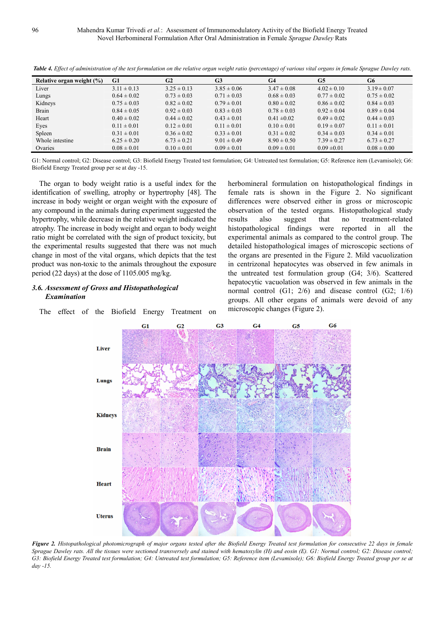| Relative organ weight $(\%)$ | G1              | G2              | G <sub>3</sub>  | G <sub>4</sub>  | G5              | G6              |
|------------------------------|-----------------|-----------------|-----------------|-----------------|-----------------|-----------------|
| Liver                        | $3.11 \pm 0.13$ | $3.25 \pm 0.13$ | $3.85 \pm 0.06$ | $3.47 \pm 0.08$ | $4.02 \pm 0.10$ | $3.19 \pm 0.07$ |
| Lungs                        | $0.64 \pm 0.02$ | $0.73 \pm 0.03$ | $0.71 \pm 0.03$ | $0.68 \pm 0.03$ | $0.77 \pm 0.02$ | $0.75 \pm 0.02$ |
| Kidneys                      | $0.75 \pm 0.03$ | $0.82 \pm 0.02$ | $0.79 \pm 0.01$ | $0.80 \pm 0.02$ | $0.86 \pm 0.02$ | $0.84 \pm 0.03$ |
| Brain                        | $0.84 \pm 0.05$ | $0.92 \pm 0.03$ | $0.83 \pm 0.03$ | $0.78 \pm 0.03$ | $0.92 \pm 0.04$ | $0.89 \pm 0.04$ |
| Heart                        | $0.40 \pm 0.02$ | $0.44 \pm 0.02$ | $0.43 \pm 0.01$ | $0.41 \pm 0.02$ | $0.49 \pm 0.02$ | $0.44 \pm 0.03$ |
| Eyes                         | $0.11 \pm 0.01$ | $0.12 \pm 0.01$ | $0.11 \pm 0.01$ | $0.10 \pm 0.01$ | $0.19 \pm 0.07$ | $0.11 \pm 0.01$ |
| Spleen                       | $0.31 \pm 0.01$ | $0.36 \pm 0.02$ | $0.33 \pm 0.01$ | $0.31 \pm 0.02$ | $0.34 \pm 0.03$ | $0.34 \pm 0.01$ |
| Whole intestine              | $6.25 \pm 0.20$ | $6.73 \pm 0.21$ | $9.01 \pm 0.49$ | $8.90 \pm 0.50$ | $7.39 \pm 0.27$ | $6.73 \pm 0.27$ |
| Ovaries                      | $0.08 \pm 0.01$ | $0.10 \pm 0.01$ | $0.09 \pm 0.01$ | $0.09 \pm 0.01$ | $0.09 \pm 0.01$ | $0.08 \pm 0.00$ |

*Table 4. Effect of administration of the test formulation on the relative organ weight ratio (percentage) of various vital organs in female Sprague Dawley rats.* 

G1: Normal control; G2: Disease control; G3: Biofield Energy Treated test formulation; G4: Untreated test formulation; G5: Reference item (Levamisole); G6: Biofield Energy Treated group per se at day -15.

The organ to body weight ratio is a useful index for the identification of swelling, atrophy or hypertrophy [48]. The increase in body weight or organ weight with the exposure of any compound in the animals during experiment suggested the hypertrophy, while decrease in the relative weight indicated the atrophy. The increase in body weight and organ to body weight ratio might be correlated with the sign of product toxicity, but the experimental results suggested that there was not much change in most of the vital organs, which depicts that the test product was non-toxic to the animals throughout the exposure period (22 days) at the dose of 1105.005 mg/kg.

## *3.6. Assessment of Gross and Histopathological Examination*

The effect of the Biofield Energy Treatment on

herbomineral formulation on histopathological findings in female rats is shown in the Figure 2. No significant differences were observed either in gross or microscopic observation of the tested organs. Histopathological study results also suggest that no treatment-related histopathological findings were reported in all the experimental animals as compared to the control group. The detailed histopathological images of microscopic sections of the organs are presented in the Figure 2. Mild vacuolization in centrizonal hepatocytes was observed in few animals in the untreated test formulation group (G4; 3/6). Scattered hepatocytic vacuolation was observed in few animals in the normal control (G1; 2/6) and disease control (G2; 1/6) groups. All other organs of animals were devoid of any microscopic changes (Figure 2).



*Figure 2. Histopathological photomicrograph of major organs tested after the Biofield Energy Treated test formulation for consecutive 22 days in female Sprague Dawley rats. All the tissues were sectioned transversely and stained with hematoxylin (H) and eosin (E). G1: Normal control; G2: Disease control; G3: Biofield Energy Treated test formulation; G4: Untreated test formulation; G5: Reference item (Levamisole); G6: Biofield Energy Treated group per se at day -15.*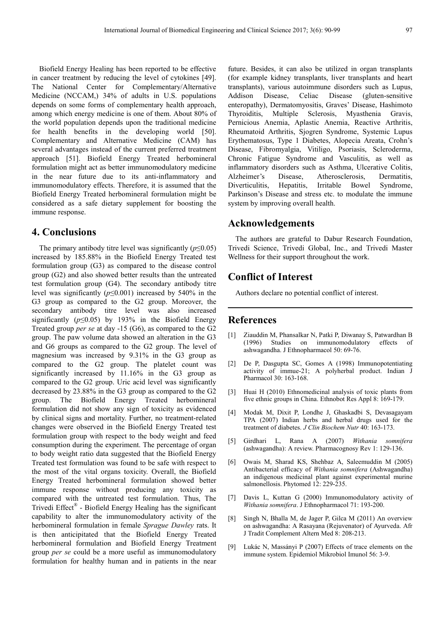Biofield Energy Healing has been reported to be effective in cancer treatment by reducing the level of cytokines [49]. The National Center for Complementary/Alternative Medicine (NCCAM,) 34% of adults in U.S. populations depends on some forms of complementary health approach, among which energy medicine is one of them. About 80% of the world population depends upon the traditional medicine for health benefits in the developing world [50]. Complementary and Alternative Medicine (CAM) has several advantages instead of the current preferred treatment approach [51]. Biofield Energy Treated herbomineral formulation might act as better immunomodulatory medicine in the near future due to its anti-inflammatory and immunomodulatory effects. Therefore, it is assumed that the Biofield Energy Treated herbomineral formulation might be considered as a safe dietary supplement for boosting the immune response.

# **4. Conclusions**

The primary antibody titre level was significantly  $(p \le 0.05)$ increased by 185.88% in the Biofield Energy Treated test formulation group (G3) as compared to the disease control group (G2) and also showed better results than the untreated test formulation group (G4). The secondary antibody titre level was significantly (*p*≤0.001) increased by 540% in the G3 group as compared to the G2 group. Moreover, the secondary antibody titre level was also increased significantly ( $p \le 0.05$ ) by 193% in the Biofield Energy Treated group *per se* at day -15 (G6), as compared to the G2 group. The paw volume data showed an alteration in the G3 and G6 groups as compared to the G2 group. The level of magnesium was increased by 9.31% in the G3 group as compared to the G2 group. The platelet count was significantly increased by 11.16% in the G3 group as compared to the G2 group. Uric acid level was significantly decreased by 23.88% in the G3 group as compared to the G2 group. The Biofield Energy Treated herbomineral formulation did not show any sign of toxicity as evidenced by clinical signs and mortality. Further, no treatment-related changes were observed in the Biofield Energy Treated test formulation group with respect to the body weight and feed consumption during the experiment. The percentage of organ to body weight ratio data suggested that the Biofield Energy Treated test formulation was found to be safe with respect to the most of the vital organs toxicity. Overall, the Biofield Energy Treated herbomineral formulation showed better immune response without producing any toxicity as compared with the untreated test formulation. Thus, The Trivedi Effect® - Biofield Energy Healing has the significant capability to alter the immunomodulatory activity of the herbomineral formulation in female *Sprague Dawley* rats. It is then anticipitated that the Biofield Energy Treated herbomineral formulation and Biofield Energy Treatment group *per se* could be a more useful as immunomodulatory formulation for healthy human and in patients in the near

future. Besides, it can also be utilized in organ transplants (for example kidney transplants, liver transplants and heart transplants), various autoimmune disorders such as Lupus, Addison Disease, Celiac Disease (gluten-sensitive enteropathy), Dermatomyositis, Graves' Disease, Hashimoto Thyroiditis, Multiple Sclerosis, Myasthenia Gravis, Pernicious Anemia, Aplastic Anemia, Reactive Arthritis, Rheumatoid Arthritis, Sjogren Syndrome, Systemic Lupus Erythematosus, Type 1 Diabetes, Alopecia Areata, Crohn's Disease, Fibromyalgia, Vitiligo, Psoriasis, Scleroderma, Chronic Fatigue Syndrome and Vasculitis, as well as inflammatory disorders such as Asthma, Ulcerative Colitis, Alzheimer's Disease, Atherosclerosis, Dermatitis, Diverticulitis, Hepatitis, Irritable Bowel Syndrome, Parkinson's Disease and stress etc. to modulate the immune system by improving overall health.

# **Acknowledgements**

The authors are grateful to Dabur Research Foundation, Trivedi Science, Trivedi Global, Inc., and Trivedi Master Wellness for their support throughout the work.

# **Conflict of Interest**

Authors declare no potential conflict of interest.

# **References**

- [1] Ziauddin M, Phansalkar N, Patki P, Diwanay S, Patwardhan B (1996) Studies on immunomodulatory effects of ashwagandha. J Ethnopharmacol 50: 69-76.
- [2] De P, Dasgupta SC, Gomes A (1998) Immunopotentiating activity of immue-21; A polyherbal product. Indian J Pharmacol 30: 163-168.
- [3] Huai H (2010) Ethnomedicinal analysis of toxic plants from five ethnic groups in China. Ethnobot Res Appl 8: 169-179.
- [4] Modak M, Dixit P, Londhe J, Ghaskadbi S, Devasagayam TPA (2007) Indian herbs and herbal drugs used for the treatment of diabetes. *J Clin Biochem Nutr* 40: 163-173.
- [5] Girdhari L, Rana A (2007) *Withania somnifera* (ashwagandha): A review. Pharmacognosy Rev 1: 129-136.
- [6] Owais M, Sharad KS, Shehbaz A, Saleemuddin M (2005) Antibacterial efficacy of *Withania somnifera* (Ashwagandha) an indigenous medicinal plant against experimental murine salmonellosis. Phytomed 12: 229-235.
- [7] Davis L, Kuttan G (2000) Immunomodulatory activity of *Withania somnifera*. J Ethnopharmacol 71: 193-200.
- [8] Singh N, Bhalla M, de Jager P, Gilca M (2011) An overview on ashwagandha: A Rasayana (Rejuvenator) of Ayurveda. Afr J Tradit Complement Altern Med 8: 208-213.
- [9] Lukác N, Massányi P (2007) Effects of trace elements on the immune system. Epidemiol Mikrobiol Imunol 56: 3-9.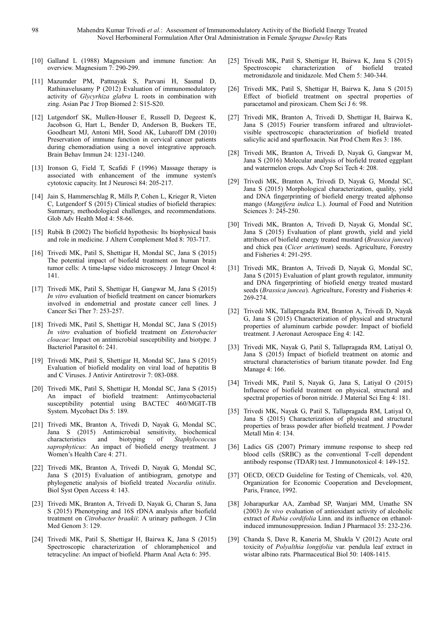- [10] Galland L (1988) Magnesium and immune function: An overview. Magnesium 7: 290-299.
- [11] Mazumder PM, Pattnayak S, Parvani H, Sasmal D, Rathinavelusamy P (2012) Evaluation of immunomodulatory activity of *Glycyrhiza glabra* L roots in combination with zing. Asian Pac J Trop Biomed 2: S15-S20.
- [12] Lutgendorf SK, Mullen-Houser E, Russell D, Degeest K, Jacobson G, Hart L, Bender D, Anderson B, Buekers TE, Goodheart MJ, Antoni MH, Sood AK, Lubaroff DM (2010) Preservation of immune function in cervical cancer patients during chemoradiation using a novel integrative approach. Brain Behav Immun 24: 1231-1240.
- [13] Ironson G, Field T, Scafidi F (1996) Massage therapy is associated with enhancement of the immune system's cytotoxic capacity. Int J Neurosci 84: 205-217.
- [14] Jain S, Hammerschlag R, Mills P, Cohen L, Krieger R, Vieten C, Lutgendorf S (2015) Clinical studies of biofield therapies: Summary, methodological challenges, and recommendations. Glob Adv Health Med 4: 58-66.
- [15] Rubik B (2002) The biofield hypothesis: Its biophysical basis and role in medicine. J Altern Complement Med 8: 703-717.
- [16] Trivedi MK, Patil S, Shettigar H, Mondal SC, Jana S (2015) The potential impact of biofield treatment on human brain tumor cells: A time-lapse video microscopy. J Integr Oncol 4: 141.
- [17] Trivedi MK, Patil S, Shettigar H, Gangwar M, Jana S (2015) *In vitro* evaluation of biofield treatment on cancer biomarkers involved in endometrial and prostate cancer cell lines. J Cancer Sci Ther 7: 253-257.
- [18] Trivedi MK, Patil S, Shettigar H, Mondal SC, Jana S (2015) *In vitro* evaluation of biofield treatment on *Enterobacter cloacae*: Impact on antimicrobial susceptibility and biotype. J Bacteriol Parasitol 6: 241.
- [19] Trivedi MK, Patil S, Shettigar H, Mondal SC, Jana S (2015) Evaluation of biofield modality on viral load of hepatitis B and C Viruses. J Antivir Antiretrovir 7: 083-088.
- [20] Trivedi MK, Patil S, Shettigar H, Mondal SC, Jana S (2015) An impact of biofield treatment: Antimycobacterial susceptibility potential using BACTEC 460/MGIT-TB System. Mycobact Dis 5: 189.
- [21] Trivedi MK, Branton A, Trivedi D, Nayak G, Mondal SC, Jana S (2015) Antimicrobial sensitivity, biochemical characteristics and biotyping of *Staphylococcus saprophyticus*: An impact of biofield energy treatment. J Women's Health Care 4: 271.
- [22] Trivedi MK, Branton A, Trivedi D, Nayak G, Mondal SC, Jana S (2015) Evaluation of antibiogram, genotype and phylogenetic analysis of biofield treated *Nocardia otitidis*. Biol Syst Open Access 4: 143.
- [23] Trivedi MK, Branton A, Trivedi D, Nayak G, Charan S, Jana S (2015) Phenotyping and 16S rDNA analysis after biofield treatment on *Citrobacter braakii*: A urinary pathogen. J Clin Med Genom 3: 129.
- [24] Trivedi MK, Patil S, Shettigar H, Bairwa K, Jana S (2015) Spectroscopic characterization of chloramphenicol and tetracycline: An impact of biofield. Pharm Anal Acta 6: 395.
- [25] Trivedi MK, Patil S, Shettigar H, Bairwa K, Jana S (2015) Spectroscopic characterization of biofield treated metronidazole and tinidazole. Med Chem 5: 340-344.
- [26] Trivedi MK, Patil S, Shettigar H, Bairwa K, Jana S (2015) Effect of biofield treatment on spectral properties of paracetamol and piroxicam. Chem Sci J 6: 98.
- [27] Trivedi MK, Branton A, Trivedi D, Shettigar H, Bairwa K, Jana S (2015) Fourier transform infrared and ultravioletvisible spectroscopic characterization of biofield treated salicylic acid and sparfloxacin. Nat Prod Chem Res 3: 186.
- [28] Trivedi MK, Branton A, Trivedi D, Nayak G, Gangwar M, Jana S (2016) Molecular analysis of biofield treated eggplant and watermelon crops. Adv Crop Sci Tech 4: 208.
- [29] Trivedi MK, Branton A, Trivedi D, Nayak G, Mondal SC, Jana S (2015) Morphological characterization, quality, yield and DNA fingerprinting of biofield energy treated alphonso mango (*Mangifera indica* L.). Journal of Food and Nutrition Sciences 3: 245-250.
- [30] Trivedi MK, Branton A, Trivedi D, Nayak G, Mondal SC, Jana S (2015) Evaluation of plant growth, yield and yield attributes of biofield energy treated mustard (*Brassica juncea*) and chick pea (*Cicer arietinum*) seeds. Agriculture, Forestry and Fisheries 4: 291-295.
- [31] Trivedi MK, Branton A, Trivedi D, Nayak G, Mondal SC, Jana S (2015) Evaluation of plant growth regulator, immunity and DNA fingerprinting of biofield energy treated mustard seeds (*Brassica juncea*). Agriculture, Forestry and Fisheries 4: 269-274.
- [32] Trivedi MK, Tallapragada RM, Branton A, Trivedi D, Nayak G, Jana S (2015) Characterization of physical and structural properties of aluminum carbide powder: Impact of biofield treatment. J Aeronaut Aerospace Eng 4: 142.
- [33] Trivedi MK, Nayak G, Patil S, Tallapragada RM, Latiyal O, Jana S (2015) Impact of biofield treatment on atomic and structural characteristics of barium titanate powder. Ind Eng Manage 4: 166.
- [34] Trivedi MK, Patil S, Nayak G, Jana S, Latiyal O (2015) Influence of biofield treatment on physical, structural and spectral properties of boron nitride. J Material Sci Eng 4: 181.
- [35] Trivedi MK, Nayak G, Patil S, Tallapragada RM, Latiyal O, Jana S (2015) Characterization of physical and structural properties of brass powder after biofield treatment. J Powder Metall Min 4: 134.
- [36] Ladics GS (2007) Primary immune response to sheep red blood cells (SRBC) as the conventional T-cell dependent antibody response (TDAR) test. J Immunotoxicol 4: 149-152.
- [37] OECD, OECD Guideline for Testing of Chemicals, vol. 420, Organization for Economic Cooperation and Development, Paris, France, 1992.
- [38] Joharapurkar AA, Zambad SP, Wanjari MM, Umathe SN (2003) *In vivo* evaluation of antioxidant activity of alcoholic extract of *Rubia cordifolia* Linn. and its influence on ethanolinduced immunosuppression. Indian J Pharmacol 35: 232-236.
- [39] Chanda S, Dave R, Kaneria M, Shukla V (2012) Acute oral toxicity of *Polyalthia longifolia* var. pendula leaf extract in wistar albino rats. Pharmaceutical Biol 50: 1408-1415.